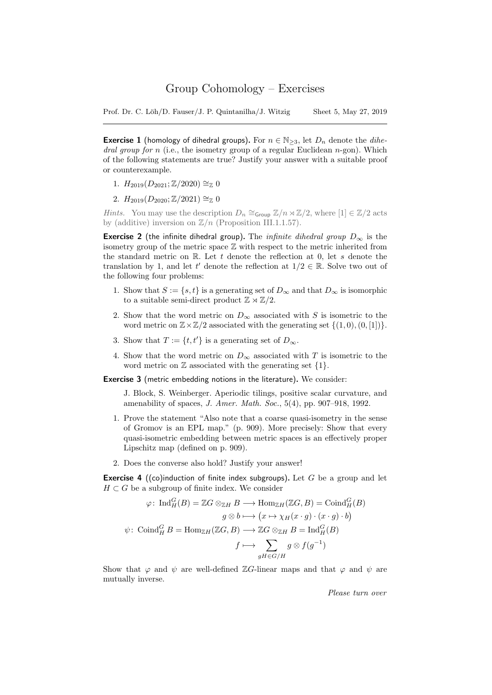Prof. Dr. C. Löh/D. Fauser/J. P. Quintanilha/J. Witzig Sheet 5, May 27, 2019

**Exercise 1** (homology of dihedral groups). For  $n \in \mathbb{N}_{\geq 3}$ , let  $D_n$  denote the *dihe*dral group for n (i.e., the isometry group of a regular Euclidean  $n$ -gon). Which of the following statements are true? Justify your answer with a suitable proof or counterexample.

- 1.  $H_{2019}(D_{2021}; \mathbb{Z}/2020) \cong_{\mathbb{Z}} 0$
- 2.  $H_{2019}(D_{2020}; \mathbb{Z}/2021) \cong_{\mathbb{Z}} 0$

*Hints.* You may use the description  $D_n \cong_{Group} \mathbb{Z}/n \rtimes \mathbb{Z}/2$ , where  $[1] \in \mathbb{Z}/2$  acts by (additive) inversion on  $\mathbb{Z}/n$  (Proposition III.1.1.57).

**Exercise 2** (the infinite dihedral group). The *infinite dihedral group*  $D_{\infty}$  is the isometry group of the metric space Z with respect to the metric inherited from the standard metric on  $\mathbb R$ . Let t denote the reflection at 0, let s denote the translation by 1, and let t' denote the reflection at  $1/2 \in \mathbb{R}$ . Solve two out of the following four problems:

- 1. Show that  $S := \{s, t\}$  is a generating set of  $D_{\infty}$  and that  $D_{\infty}$  is isomorphic to a suitable semi-direct product  $\mathbb{Z} \rtimes \mathbb{Z}/2$ .
- 2. Show that the word metric on  $D_{\infty}$  associated with S is isometric to the word metric on  $\mathbb{Z}\times\mathbb{Z}/2$  associated with the generating set  $\{(1,0),(0,[1])\}.$
- 3. Show that  $T := \{t, t'\}$  is a generating set of  $D_{\infty}$ .
- 4. Show that the word metric on  $D_{\infty}$  associated with T is isometric to the word metric on  $\mathbb Z$  associated with the generating set  $\{1\}.$

Exercise 3 (metric embedding notions in the literature). We consider:

J. Block, S. Weinberger. Aperiodic tilings, positive scalar curvature, and amenability of spaces, J. Amer. Math. Soc., 5(4), pp. 907–918, 1992.

- 1. Prove the statement "Also note that a coarse quasi-isometry in the sense of Gromov is an EPL map." (p. 909). More precisely: Show that every quasi-isometric embedding between metric spaces is an effectively proper Lipschitz map (defined on p. 909).
- 2. Does the converse also hold? Justify your answer!

**Exercise 4** ((co)induction of finite index subgroups). Let G be a group and let  $H \subset G$  be a subgroup of finite index. We consider

$$
\varphi \colon \operatorname{Ind}_{H}^{G}(B) = \mathbb{Z}G \otimes_{\mathbb{Z}H} B \longrightarrow \operatorname{Hom}_{\mathbb{Z}H}(\mathbb{Z}G, B) = \operatorname{Coind}_{H}^{G}(B)
$$

$$
g \otimes b \longmapsto (x \mapsto \chi_{H}(x \cdot g) \cdot (x \cdot g) \cdot b)
$$

$$
\psi \colon \operatorname{Coind}_{H}^{G} B = \operatorname{Hom}_{\mathbb{Z}H}(\mathbb{Z}G, B) \longrightarrow \mathbb{Z}G \otimes_{\mathbb{Z}H} B = \operatorname{Ind}_{H}^{G}(B)
$$

$$
f \longmapsto \sum_{gH \in G/H} g \otimes f(g^{-1})
$$

Show that  $\varphi$  and  $\psi$  are well-defined ZG-linear maps and that  $\varphi$  and  $\psi$  are mutually inverse.

Please turn over